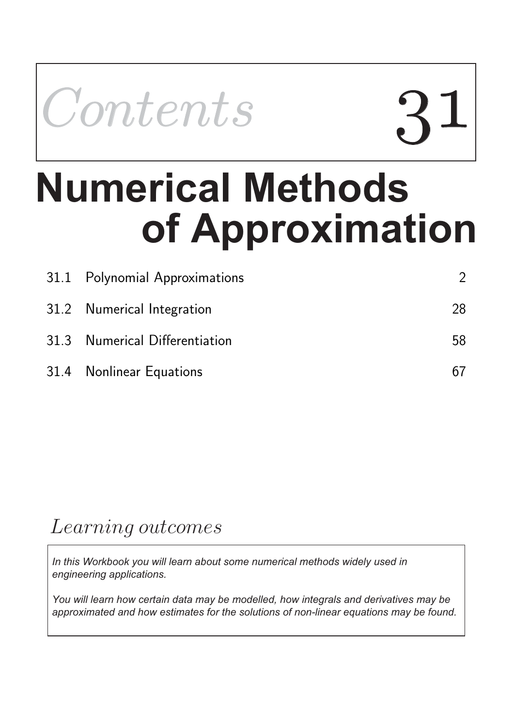Contents

# **of Approximation Numerical Methods**

| 31.1 Polynomial Approximations |    |
|--------------------------------|----|
| 31.2 Numerical Integration     | 28 |
| 31.3 Numerical Differentiation | 58 |
| 31.4 Nonlinear Equations       |    |

# Learning outcomes

*In this Workbook you will learn about some numerical methods widely used in engineering applications.*

*You will learn how certain data may be modelled, how integrals and derivatives may be approximated and how estimates for the solutions of non-linear equations may be found.*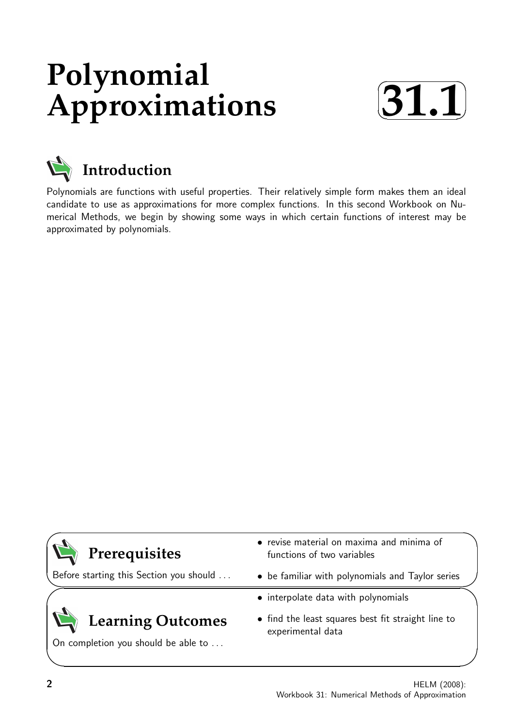# **Polynomial Approximations**





# **Introduction**

Polynomials are functions with useful properties. Their relatively simple form makes them an ideal candidate to use as approximations for more complex functions. In this second Workbook on Numerical Methods, we begin by showing some ways in which certain functions of interest may be approximated by polynomials.



Before starting this Section you should . . .

# **Learning Outcomes**

On completion you should be able to ...

- revise material on maxima and minima of functions of two variables
- be familiar with polynomials and Taylor series
- interpolate data with polynomials
- find the least squares best fit straight line to experimental data

 $\overline{\phantom{0}}$ 

 $\searrow$ 

 $\ge$ 

 $\overline{\phantom{0}}$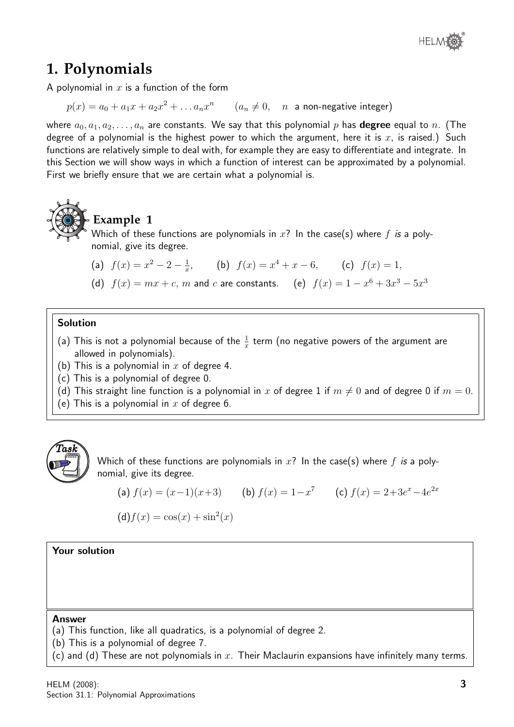

# **1. Polynomials**

A polynomial in  $x$  is a function of the form

 $p(x) = a_0 + a_1 x + a_2 x^2 + \ldots a_n x^n \qquad (a_n \neq 0, \quad n$  a non-negative integer)

where  $a_0, a_1, a_2, \ldots, a_n$  are constants. We say that this polynomial p has **degree** equal to n. (The degree of a polynomial is the highest power to which the argument, here it is  $x$ , is raised.) Such functions are relatively simple to deal with, for example they are easy to differentiate and integrate. In this Section we will show ways in which a function of interest can be approximated by a polynomial. First we briefly ensure that we are certain what a polynomial is.



## **Example 1**

Which of these functions are polynomials in  $x$ ? In the case(s) where  $f$  is a polynomial, give its degree.

(a)  $f(x) = x^2 - 2 - \frac{1}{x}$  $\frac{1}{x}$ , (b)  $f(x) = x^4 + x - 6$ , (c)  $f(x) = 1$ ,

(d)  $f(x) = mx + c$ , m and c are constants. (e)  $f(x) = 1 - x^6 + 3x^3 - 5x^3$ 

#### Solution

- (a) This is not a polynomial because of the  $\frac{1}{x}$  term (no negative powers of the argument are allowed in polynomials).
- (b) This is a polynomial in  $x$  of degree 4.
- (c) This is a polynomial of degree 0.
- (d) This straight line function is a polynomial in x of degree 1 if  $m \neq 0$  and of degree 0 if  $m = 0$ .
- (e) This is a polynomial in x of degree 6.



Which of these functions are polynomials in  $x$ ? In the case(s) where  $f$  is a polynomial, give its degree.

(a) 
$$
f(x) = (x-1)(x+3)
$$
 (b)  $f(x) = 1-x^7$  (c)  $f(x) = 2+3e^x-4e^{2x}$ 

$$
(\mathsf{d})f(x) = \cos(x) + \sin^2(x)
$$

#### Your solution

#### Answer

- (a) This function, like all quadratics, is a polynomial of degree 2.
- (b) This is a polynomial of degree 7.
- (c) and (d) These are not polynomials in  $x$ . Their Maclaurin expansions have infinitely many terms.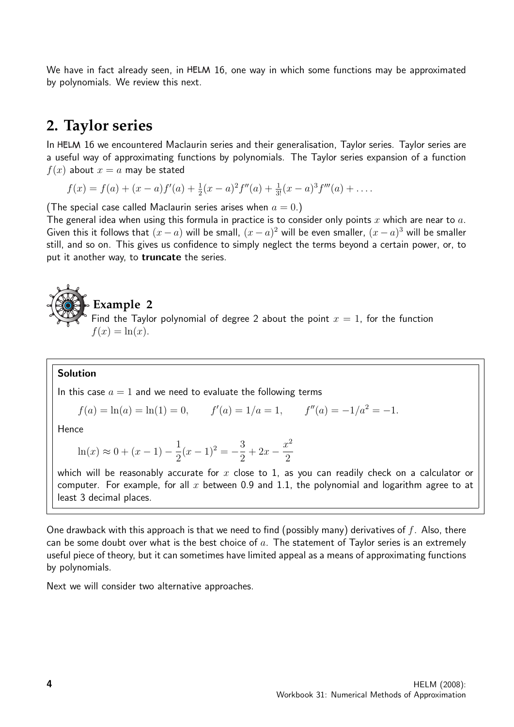We have in fact already seen, in HELM 16, one way in which some functions may be approximated by polynomials. We review this next.

### **2. Taylor series**

In HELM 16 we encountered Maclaurin series and their generalisation, Taylor series. Taylor series are a useful way of approximating functions by polynomials. The Taylor series expansion of a function  $f(x)$  about  $x = a$  may be stated

 $f(x) = f(a) + (x - a)f'(a) + \frac{1}{2}(x - a)^2 f''(a) + \frac{1}{3!}(x - a)^3 f'''(a) + \dots$ 

(The special case called Maclaurin series arises when  $a = 0$ .)

The general idea when using this formula in practice is to consider only points x which are near to  $a$ . Given this it follows that  $(x - a)$  will be small,  $(x - a)^2$  will be even smaller,  $(x - a)^3$  will be smaller still, and so on. This gives us confidence to simply neglect the terms beyond a certain power, or, to put it another way, to **truncate** the series.

## **Example 2** Find the Taylor polynomial of degree 2 about the point  $x = 1$ , for the function  $f(x) = \ln(x)$ .

#### Solution

In this case  $a = 1$  and we need to evaluate the following terms

$$
f(a) = \ln(a) = \ln(1) = 0,
$$
  $f'(a) = 1/a = 1,$   $f''(a) = -1/a^2 = -1.$ 

Hence

$$
\ln(x) \approx 0 + (x - 1) - \frac{1}{2}(x - 1)^2 = -\frac{3}{2} + 2x - \frac{x^2}{2}
$$

which will be reasonably accurate for  $x$  close to 1, as you can readily check on a calculator or computer. For example, for all x between 0.9 and 1.1, the polynomial and logarithm agree to at least 3 decimal places.

One drawback with this approach is that we need to find (possibly many) derivatives of  $f$ . Also, there can be some doubt over what is the best choice of  $a$ . The statement of Taylor series is an extremely useful piece of theory, but it can sometimes have limited appeal as a means of approximating functions by polynomials.

Next we will consider two alternative approaches.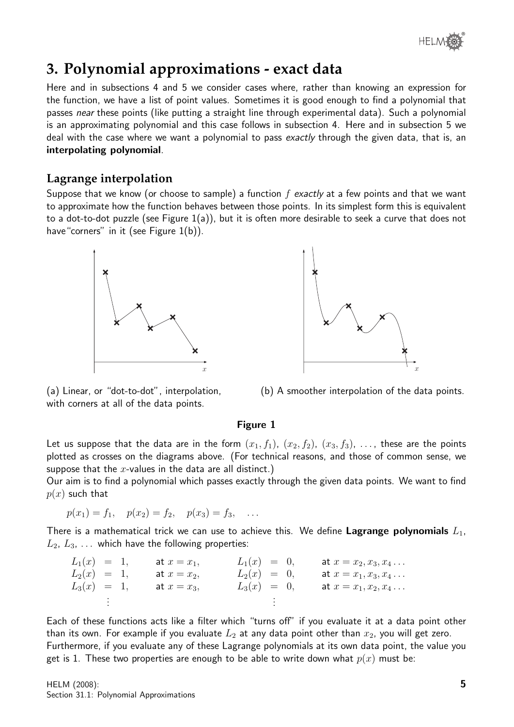

# **3. Polynomial approximations - exact data**

Here and in subsections 4 and 5 we consider cases where, rather than knowing an expression for the function, we have a list of point values. Sometimes it is good enough to find a polynomial that passes near these points (like putting a straight line through experimental data). Such a polynomial is an approximating polynomial and this case follows in subsection 4. Here and in subsection 5 we deal with the case where we want a polynomial to pass exactly through the given data, that is, an interpolating polynomial.

#### **Lagrange interpolation**

Suppose that we know (or choose to sample) a function  $f$  exactly at a few points and that we want to approximate how the function behaves between those points. In its simplest form this is equivalent to a dot-to-dot puzzle (see Figure 1(a)), but it is often more desirable to seek a curve that does not have "corners" in it (see Figure 1(b)).





(a) Linear, or "dot-to-dot", interpolation, with corners at all of the data points.

(b) A smoother interpolation of the data points.

#### Figure 1

Let us suppose that the data are in the form  $(x_1, f_1)$ ,  $(x_2, f_2)$ ,  $(x_3, f_3)$ , ..., these are the points plotted as crosses on the diagrams above. (For technical reasons, and those of common sense, we suppose that the x-values in the data are all distinct.)

Our aim is to find a polynomial which passes exactly through the given data points. We want to find  $p(x)$  such that

$$
p(x_1) = f_1
$$
,  $p(x_2) = f_2$ ,  $p(x_3) = f_3$ , ...

There is a mathematical trick we can use to achieve this. We define Lagrange polynomials  $L_1$ ,  $L_2, L_3, \ldots$  which have the following properties:

| $L_1(x) = 1$ , | at $x = x_1$ , | $L_1(x) = 0,$ |  | at $x = x_2, x_3, x_4 \ldots$ |
|----------------|----------------|---------------|--|-------------------------------|
| $L_2(x) = 1$ , | at $x=x_2$ ,   | $L_2(x) = 0,$ |  | at $x = x_1, x_3, x_4 \ldots$ |
| $L_3(x) = 1,$  | at $x=x_3$ ,   | $L_3(x) = 0,$ |  | at $x = x_1, x_2, x_4 \ldots$ |
|                |                |               |  |                               |

Each of these functions acts like a filter which "turns off" if you evaluate it at a data point other than its own. For example if you evaluate  $L_2$  at any data point other than  $x_2$ , you will get zero. Furthermore, if you evaluate any of these Lagrange polynomials at its own data point, the value you get is 1. These two properties are enough to be able to write down what  $p(x)$  must be: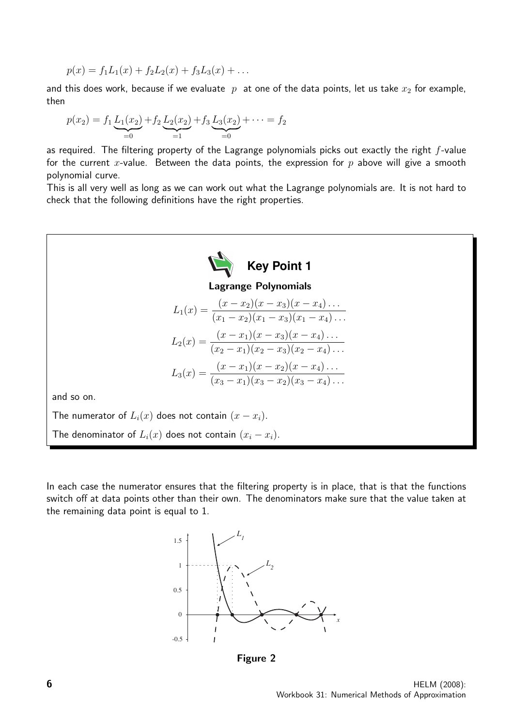$$
p(x) = f_1 L_1(x) + f_2 L_2(x) + f_3 L_3(x) + \dots
$$

and this does work, because if we evaluate  $p$  at one of the data points, let us take  $x_2$  for example, then

$$
p(x_2) = f_1 \underbrace{L_1(x_2)}_{=0} + f_2 \underbrace{L_2(x_2)}_{=1} + f_3 \underbrace{L_3(x_2)}_{=0} + \cdots = f_2
$$

as required. The filtering property of the Lagrange polynomials picks out exactly the right  $f$ -value for the current x-value. Between the data points, the expression for  $p$  above will give a smooth polynomial curve.

This is all very well as long as we can work out what the Lagrange polynomials are. It is not hard to check that the following definitions have the right properties.



In each case the numerator ensures that the filtering property is in place, that is that the functions switch off at data points other than their own. The denominators make sure that the value taken at the remaining data point is equal to 1.



Figure 2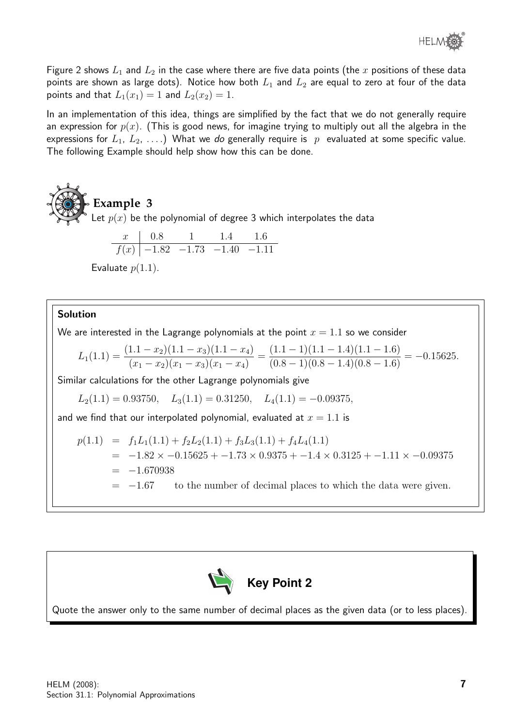

Figure 2 shows  $L_1$  and  $L_2$  in the case where there are five data points (the x positions of these data points are shown as large dots). Notice how both  $L_1$  and  $L_2$  are equal to zero at four of the data points and that  $L_1(x_1) = 1$  and  $L_2(x_2) = 1$ .

In an implementation of this idea, things are simplified by the fact that we do not generally require an expression for  $p(x)$ . (This is good news, for imagine trying to multiply out all the algebra in the expressions for  $L_1, L_2, \ldots$ ) What we do generally require is p evaluated at some specific value. The following Example should help show how this can be done.



t 
$$
p(x)
$$
 be the polynomial of degree 3 which interpolates the data

$$
\begin{array}{c|ccccc}\nx & 0.8 & 1 & 1.4 & 1.6 \\
\hline\nf(x) & -1.82 & -1.73 & -1.40 & -1.11\n\end{array}
$$

Evaluate  $p(1.1)$ .

#### Solution

We are interested in the Lagrange polynomials at the point  $x = 1.1$  so we consider

$$
L_1(1.1) = \frac{(1.1 - x_2)(1.1 - x_3)(1.1 - x_4)}{(x_1 - x_2)(x_1 - x_3)(x_1 - x_4)} = \frac{(1.1 - 1)(1.1 - 1.4)(1.1 - 1.6)}{(0.8 - 1)(0.8 - 1.4)(0.8 - 1.6)} = -0.15625.
$$

Similar calculations for the other Lagrange polynomials give

$$
L_2(1.1) = 0.93750
$$
,  $L_3(1.1) = 0.31250$ ,  $L_4(1.1) = -0.09375$ ,

and we find that our interpolated polynomial, evaluated at  $x = 1.1$  is

$$
p(1.1) = f_1L_1(1.1) + f_2L_2(1.1) + f_3L_3(1.1) + f_4L_4(1.1)
$$
  
= -1.82 × -0.15625 + -1.73 × 0.9375 + -1.4 × 0.3125 + -1.11 × -0.09375  
= -1.670938  
= -1.67 to the number of decimal places to which the data were given.



Quote the answer only to the same number of decimal places as the given data (or to less places).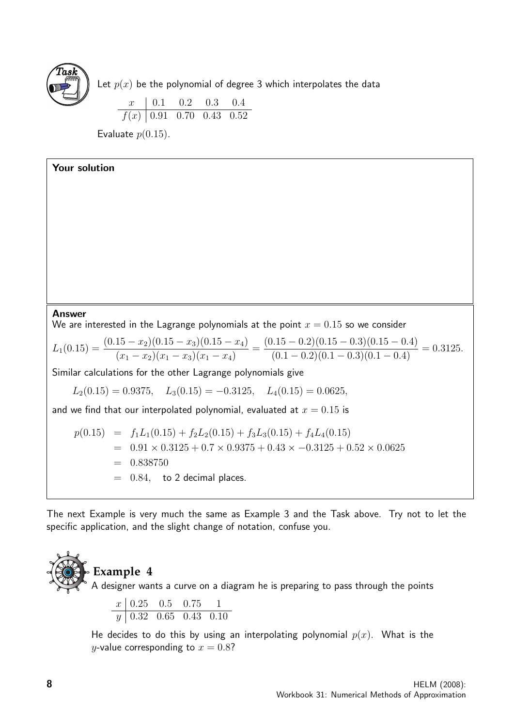

Let  $p(x)$  be the polynomial of degree 3 which interpolates the data

 $x \begin{array}{|l} 0.1 \quad 0.2 \quad 0.3 \quad 0.4 \end{array}$  $f(x)$  0.91 0.70 0.43 0.52

Evaluate  $p(0.15)$ .

Your solution

#### Answer

We are interested in the Lagrange polynomials at the point  $x = 0.15$  so we consider

$$
L_1(0.15) = \frac{(0.15 - x_2)(0.15 - x_3)(0.15 - x_4)}{(x_1 - x_2)(x_1 - x_3)(x_1 - x_4)} = \frac{(0.15 - 0.2)(0.15 - 0.3)(0.15 - 0.4)}{(0.1 - 0.2)(0.1 - 0.3)(0.1 - 0.4)} = 0.3125.
$$

Similar calculations for the other Lagrange polynomials give

 $L_2(0.15) = 0.9375$ ,  $L_3(0.15) = -0.3125$ ,  $L_4(0.15) = 0.0625$ ,

and we find that our interpolated polynomial, evaluated at  $x = 0.15$  is

$$
p(0.15) = f_1L_1(0.15) + f_2L_2(0.15) + f_3L_3(0.15) + f_4L_4(0.15)
$$
  
= 0.91 × 0.3125 + 0.7 × 0.9375 + 0.43 × -0.3125 + 0.52 × 0.0625  
= 0.838750  
= 0.84, to 2 decimal places.

The next Example is very much the same as Example 3 and the Task above. Try not to let the specific application, and the slight change of notation, confuse you.



# **Example 4**

A designer wants a curve on a diagram he is preparing to pass through the points

$$
\begin{array}{c|cccc}\nx & 0.25 & 0.5 & 0.75 & 1 \\
\hline\ny & 0.32 & 0.65 & 0.43 & 0.10\n\end{array}
$$

He decides to do this by using an interpolating polynomial  $p(x)$ . What is the y-value corresponding to  $x = 0.8$ ?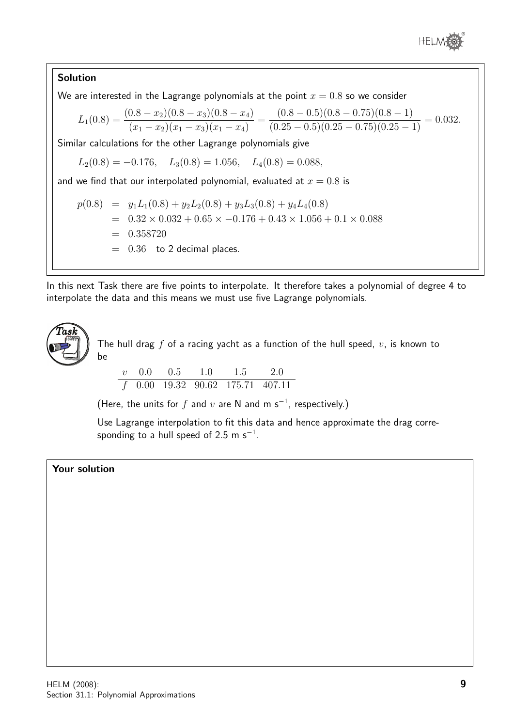

#### Solution

We are interested in the Lagrange polynomials at the point  $x = 0.8$  so we consider

$$
L_1(0.8) = \frac{(0.8 - x_2)(0.8 - x_3)(0.8 - x_4)}{(x_1 - x_2)(x_1 - x_3)(x_1 - x_4)} = \frac{(0.8 - 0.5)(0.8 - 0.75)(0.8 - 1)}{(0.25 - 0.5)(0.25 - 0.75)(0.25 - 1)} = 0.032.
$$

Similar calculations for the other Lagrange polynomials give

$$
L_2(0.8) = -0.176
$$
,  $L_3(0.8) = 1.056$ ,  $L_4(0.8) = 0.088$ ,

and we find that our interpolated polynomial, evaluated at  $x = 0.8$  is

$$
p(0.8) = y_1 L_1(0.8) + y_2 L_2(0.8) + y_3 L_3(0.8) + y_4 L_4(0.8)
$$
  
= 0.32 × 0.032 + 0.65 × -0.176 + 0.43 × 1.056 + 0.1 × 0.088  
= 0.358720  
= 0.36 to 2 decimal places.

In this next Task there are five points to interpolate. It therefore takes a polynomial of degree 4 to interpolate the data and this means we must use five Lagrange polynomials.



The hull drag  $f$  of a racing yacht as a function of the hull speed,  $v$ , is known to be

$$
\begin{array}{c|cccc}\nv & 0.0 & 0.5 & 1.0 & 1.5 & 2.0 \\
\hline\nf & 0.00 & 19.32 & 90.62 & 175.71 & 407.11\n\end{array}
$$

(Here, the units for  $f$  and  $v$  are N and m s<sup>-1</sup>, respectively.)

Use Lagrange interpolation to fit this data and hence approximate the drag corresponding to a hull speed of 2.5 m s $^{\rm -1}.$ 

#### Your solution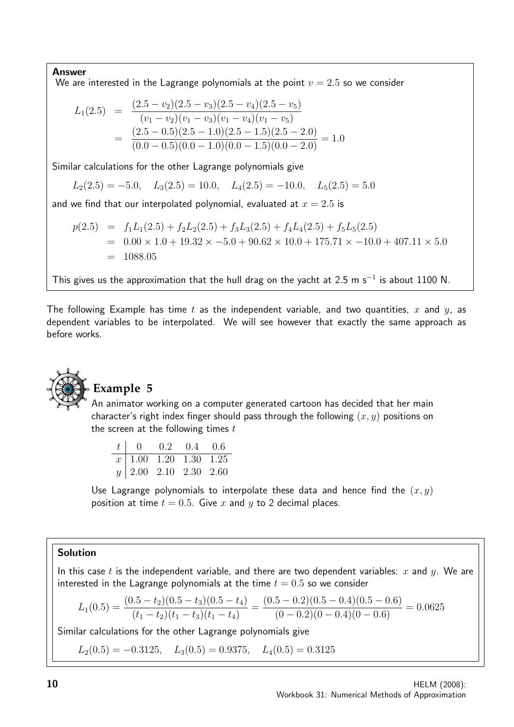#### Answer

We are interested in the Lagrange polynomials at the point  $v = 2.5$  so we consider

$$
L_1(2.5) = \frac{(2.5 - v_2)(2.5 - v_3)(2.5 - v_4)(2.5 - v_5)}{(v_1 - v_2)(v_1 - v_3)(v_1 - v_4)(v_1 - v_5)}
$$
  
= 
$$
\frac{(2.5 - 0.5)(2.5 - 1.0)(2.5 - 1.5)(2.5 - 2.0)}{(0.0 - 0.5)(0.0 - 1.0)(0.0 - 1.5)(0.0 - 2.0)} = 1.0
$$

Similar calculations for the other Lagrange polynomials give

$$
L_2(2.5) = -5.0
$$
,  $L_3(2.5) = 10.0$ ,  $L_4(2.5) = -10.0$ ,  $L_5(2.5) = 5.0$ 

and we find that our interpolated polynomial, evaluated at  $x = 2.5$  is

$$
p(2.5) = f_1L_1(2.5) + f_2L_2(2.5) + f_3L_3(2.5) + f_4L_4(2.5) + f_5L_5(2.5)
$$
  
= 0.00 × 1.0 + 19.32 × -5.0 + 90.62 × 10.0 + 175.71 × -10.0 + 407.11 × 5.0  
= 1088.05

This gives us the approximation that the hull drag on the yacht at 2.5 m s<sup>-1</sup> is about 1100 N.

The following Example has time t as the independent variable, and two quantities, x and  $y$ , as dependent variables to be interpolated. We will see however that exactly the same approach as before works.



#### **Example 5**

An animator working on a computer generated cartoon has decided that her main character's right index finger should pass through the following  $(x, y)$  positions on the screen at the following times  $t$ 

| $t \begin{bmatrix} 0 & 0.2 & 0.4 & 0.6 \end{bmatrix}$ |  |  |
|-------------------------------------------------------|--|--|
| $\boxed{x}$ 1.00 1.20 1.30 1.25                       |  |  |
| y   2.00 2.10 2.30 2.60                               |  |  |

Use Lagrange polynomials to interpolate these data and hence find the  $(x, y)$ position at time  $t = 0.5$ . Give x and y to 2 decimal places.

#### Solution

In this case t is the independent variable, and there are two dependent variables: x and y. We are interested in the Lagrange polynomials at the time  $t = 0.5$  so we consider

$$
L_1(0.5) = \frac{(0.5 - t_2)(0.5 - t_3)(0.5 - t_4)}{(t_1 - t_2)(t_1 - t_3)(t_1 - t_4)} = \frac{(0.5 - 0.2)(0.5 - 0.4)(0.5 - 0.6)}{(0 - 0.2)(0 - 0.4)(0 - 0.6)} = 0.0625
$$

Similar calculations for the other Lagrange polynomials give

 $L_2(0.5) = -0.3125$ ,  $L_3(0.5) = 0.9375$ ,  $L_4(0.5) = 0.3125$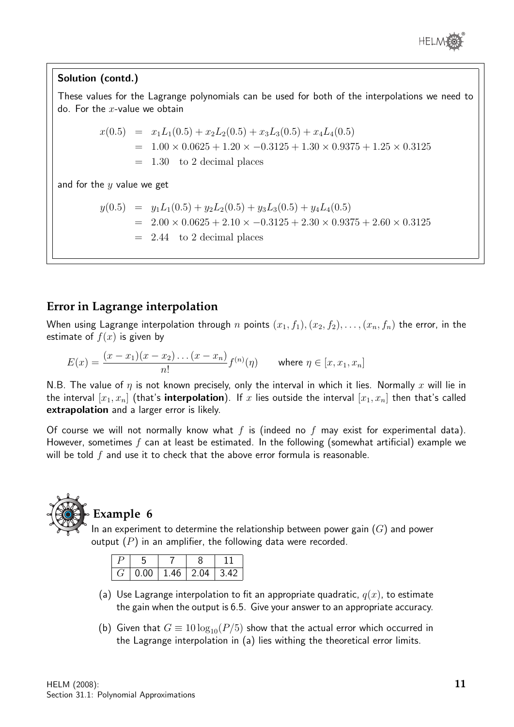

#### Solution (contd.)

These values for the Lagrange polynomials can be used for both of the interpolations we need to do. For the  $x$ -value we obtain

$$
x(0.5) = x_1L_1(0.5) + x_2L_2(0.5) + x_3L_3(0.5) + x_4L_4(0.5)
$$
  
= 1.00 × 0.0625 + 1.20 × -0.3125 + 1.30 × 0.9375 + 1.25 × 0.3125  
= 1.30 to 2 decimal places

and for the  $y$  value we get

$$
y(0.5) = y_1 L_1(0.5) + y_2 L_2(0.5) + y_3 L_3(0.5) + y_4 L_4(0.5)
$$
  
= 2.00 × 0.0625 + 2.10 × -0.3125 + 2.30 × 0.9375 + 2.60 × 0.3125  
= 2.44 to 2 decimal places

#### **Error in Lagrange interpolation**

When using Lagrange interpolation through n points  $(x_1, f_1), (x_2, f_2), \ldots, (x_n, f_n)$  the error, in the estimate of  $f(x)$  is given by

$$
E(x) = \frac{(x - x_1)(x - x_2) \dots (x - x_n)}{n!} f^{(n)}(\eta) \quad \text{where } \eta \in [x, x_1, x_n]
$$

N.B. The value of  $\eta$  is not known precisely, only the interval in which it lies. Normally x will lie in the interval  $[x_1, x_n]$  (that's interpolation). If x lies outside the interval  $[x_1, x_n]$  then that's called extrapolation and a larger error is likely.

Of course we will not normally know what  $f$  is (indeed no  $f$  may exist for experimental data). However, sometimes f can at least be estimated. In the following (somewhat artificial) example we will be told  $f$  and use it to check that the above error formula is reasonable.



### **Example 6**

In an experiment to determine the relationship between power gain  $(G)$  and power output  $(P)$  in an amplifier, the following data were recorded.

| 0.00 | 1.46 | ን በ4 | 3 AC |
|------|------|------|------|

- (a) Use Lagrange interpolation to fit an appropriate quadratic,  $q(x)$ , to estimate the gain when the output is 6.5. Give your answer to an appropriate accuracy.
- (b) Given that  $G \equiv 10 \log_{10}(P/5)$  show that the actual error which occurred in the Lagrange interpolation in (a) lies withing the theoretical error limits.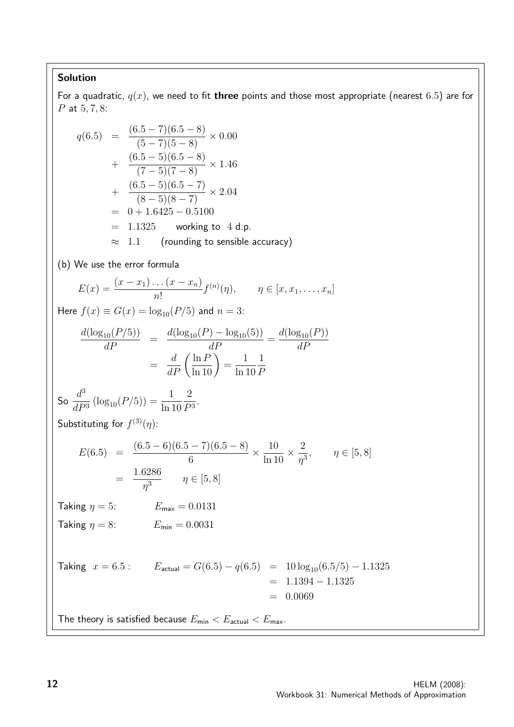#### Solution

For a quadratic,  $q(x)$ , we need to fit three points and those most appropriate (nearest 6.5) are for P at 5, 7, 8:

$$
q(6.5) = \frac{(6.5 - 7)(6.5 - 8)}{(5 - 7)(5 - 8)} \times 0.00
$$
  
+  $\frac{(6.5 - 5)(6.5 - 8)}{(7 - 5)(7 - 8)} \times 1.46$   
+  $\frac{(6.5 - 5)(6.5 - 7)}{(8 - 5)(8 - 7)} \times 2.04$   
= 0 + 1.6425 - 0.5100  
= 1.1325 working to 4 d.p.  
\approx 1.1 (rounding to sensible accuracy)  
(b) We use the error formula  

$$
E(x) = \frac{(x - x_1)...(x - x_n)}{n!} f^{(n)}(\eta), \qquad \eta \in [x, x_1, ..., x_n]
$$
  
Here  $f(x) \equiv G(x) = \log_{10}(P/5)$  and  $n = 3$ :  

$$
\frac{d(\log_{10}(P/5))}{dP} = \frac{d(\log_{10}(P) - \log_{10}(5))}{dP} = \frac{d(\log_{10}(P))}{dP}
$$
  
=  $\frac{d}{dP}(\frac{\ln P}{\ln 10}) = \frac{1}{\ln 10} \frac{1}{P}$   
So  $\frac{d^3}{d^3} (\log_{10}(P/5)) = \frac{1}{\ln 10} \frac{2}{P^3}$ .  
Substituting for  $f^{(3)}(\eta)$ :  

$$
E(6.5) = \frac{(6.5 - 6)(6.5 - 7)(6.5 - 8)}{6} \times \frac{10}{\ln 10} \times \frac{2}{\eta^3}, \qquad \eta \in [5, 8]
$$
  
=  $\frac{1.6286}{\eta^3} \qquad \eta \in [5, 8]$   
Taking  $\eta = 5$ :  $E_{max} = 0.0131$   
Taking  $\eta = 8$ :  $E_{min} = 0.0031$   
Taking  $x = 6.5$ :  $E_{actual} = G(6.5) - q(6.5) = 10 \log_{10}(6.5/5) - 1.1325$   
= 0.0069  
The theory is satisfied because  $E_{min} < E_{actual} < E_{max}$ .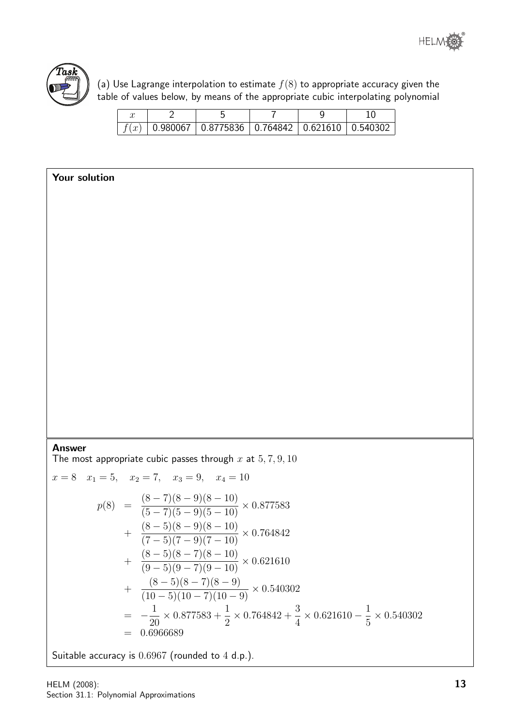

(a) Use Lagrange interpolation to estimate  $f(8)$  to appropriate accuracy given the table of values below, by means of the appropriate cubic interpolating polynomial

|  | $\vert$ 0.980067 $\vert$ 0.8775836 $\vert$ 0.764842 $\vert$ 0.621610 $\vert$ 0.540302 |  |  |
|--|---------------------------------------------------------------------------------------|--|--|

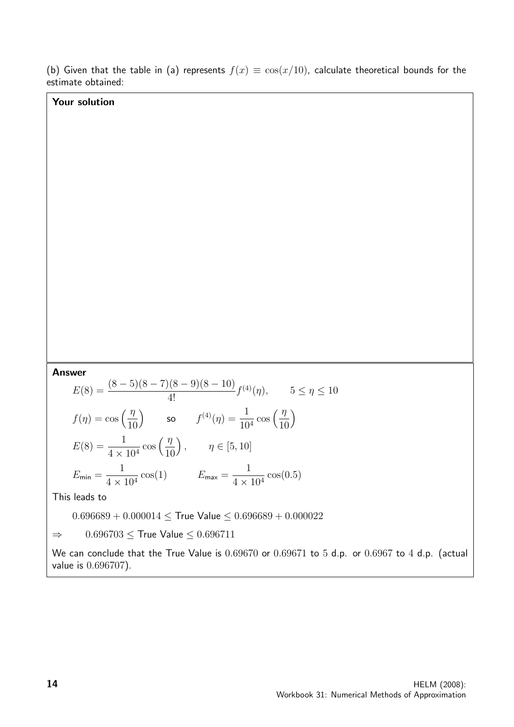(b) Given that the table in (a) represents  $f(x) \equiv \cos(x/10)$ , calculate theoretical bounds for the estimate obtained:

#### Your solution

Answer

$$
E(8) = \frac{(8-5)(8-7)(8-9)(8-10)}{4!} f^{(4)}(\eta), \qquad 5 \le \eta \le 10
$$
  

$$
f(\eta) = \cos\left(\frac{\eta}{10}\right) \qquad \text{so} \qquad f^{(4)}(\eta) = \frac{1}{10^4} \cos\left(\frac{\eta}{10}\right)
$$
  

$$
E(8) = \frac{1}{4 \times 10^4} \cos\left(\frac{\eta}{10}\right), \qquad \eta \in [5, 10]
$$
  

$$
E_{\text{min}} = \frac{1}{4 \times 10^4} \cos(1) \qquad E_{\text{max}} = \frac{1}{4 \times 10^4} \cos(0.5)
$$

This leads to

 $0.696689 + 0.000014 \leq$  True Value  $\leq 0.696689 + 0.000022$ 

 $\Rightarrow$  0.696703  $\leq$  True Value  $\leq$  0.696711

We can conclude that the True Value is  $0.69670$  or  $0.69671$  to 5 d.p. or  $0.6967$  to 4 d.p. (actual value is 0.696707).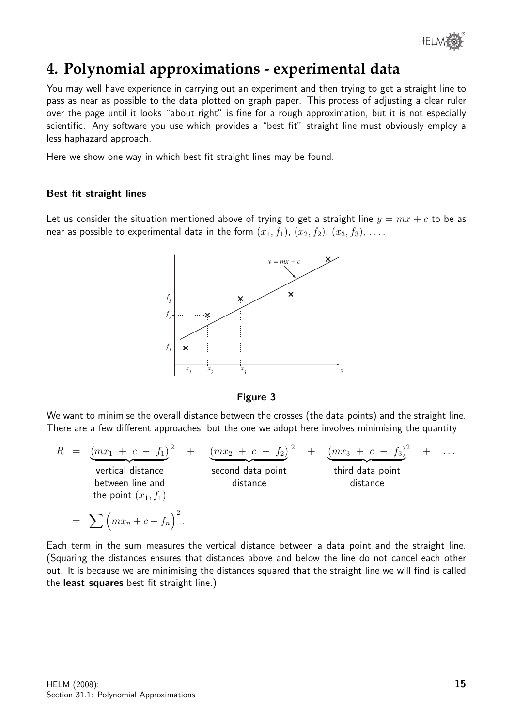

# **4. Polynomial approximations - experimental data**

You may well have experience in carrying out an experiment and then trying to get a straight line to pass as near as possible to the data plotted on graph paper. This process of adjusting a clear ruler over the page until it looks "about right" is fine for a rough approximation, but it is not especially scientific. Any software you use which provides a "best fit" straight line must obviously employ a less haphazard approach.

Here we show one way in which best fit straight lines may be found.

#### Best fit straight lines

Let us consider the situation mentioned above of trying to get a straight line  $y = mx + c$  to be as near as possible to experimental data in the form  $(x_1, f_1)$ ,  $(x_2, f_2)$ ,  $(x_3, f_3)$ , ...





We want to minimise the overall distance between the crosses (the data points) and the straight line. There are a few different approaches, but the one we adopt here involves minimising the quantity

$$
R = \underbrace{(mx_1 + c - f_1)}_{\text{vertical distance}}
$$
\n
$$
= \sum (mx_1 + c - f_1)^2 + \underbrace{(mx_2 + c - f_2)}_{\text{second data point}}
$$
\n
$$
= \sum (mx_n + c - f_n)^2.
$$
\n
$$
= \sum (mx_n + c - f_n)^2.
$$
\n
$$
= \sum (mx_n + c - f_n)^2.
$$
\n
$$
R = \underbrace{(mx_1 + c - f_1)}_{\text{second data point}}
$$
\n
$$
R = \underbrace{(mx_1 + c - f_1)}_{\text{second data point}}
$$
\n
$$
R = \underbrace{(mx_1 + c - f_1)}_{\text{second data point}}
$$
\n
$$
R = \underbrace{(mx_1 + c - f_1)}_{\text{second data point}}
$$
\n
$$
R = \underbrace{(mx_1 + c - f_1)}_{\text{second data point}}
$$
\n
$$
R = \underbrace{(mx_1 + c - f_1)}_{\text{second data point}}
$$
\n
$$
R = \underbrace{(mx_1 + c - f_1)}_{\text{second data point}}
$$
\n
$$
R = \underbrace{(mx_1 + c - f_1)}_{\text{second data point}}
$$
\n
$$
R = \underbrace{(mx_1 + c - f_1)}_{\text{second data point}}
$$
\n
$$
R = \underbrace{(mx_1 + c - f_1)}_{\text{second data point}}
$$
\n
$$
R = \underbrace{(mx_1 + c - f_1)}_{\text{second data point}}
$$
\n
$$
R = \underbrace{(mx_1 + c - f_1)}_{\text{second data point}}
$$
\n
$$
R = \underbrace{(mx_1 + c - f_1)}_{\text{second data point}}
$$
\n
$$
R = \underbrace{(mx_1 + c - f_1)}_{\text{second data point}}
$$
\n
$$
R = \underbrace{(mx_1 + c - f_1)}_{\text{second data point}}
$$
\n
$$
R = \underbrace{(mx_1 + c - f_1)}_{\text{second data point}}
$$
\n
$$
R = \underbrace{(mx_1 + c - f_1)}_{\text{second data point}}
$$

Each term in the sum measures the vertical distance between a data point and the straight line. (Squaring the distances ensures that distances above and below the line do not cancel each other out. It is because we are minimising the distances squared that the straight line we will find is called the least squares best fit straight line.)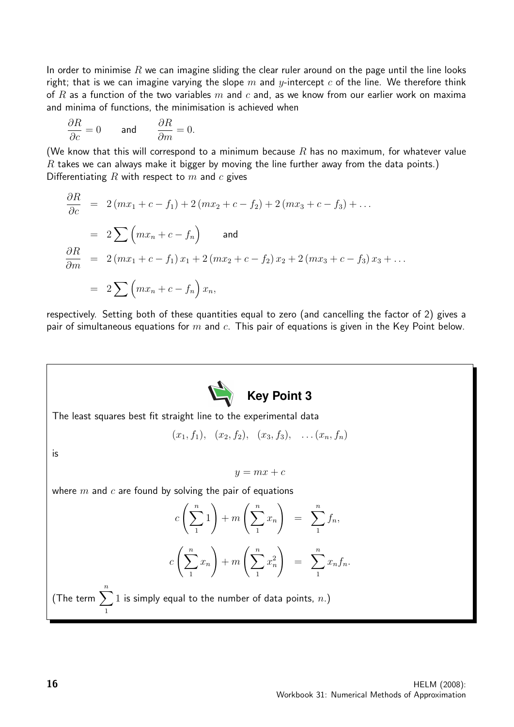In order to minimise  $R$  we can imagine sliding the clear ruler around on the page until the line looks right; that is we can imagine varying the slope m and y-intercept c of the line. We therefore think of R as a function of the two variables m and c and, as we know from our earlier work on maxima and minima of functions, the minimisation is achieved when

$$
\frac{\partial R}{\partial c} = 0 \quad \text{and} \quad \frac{\partial R}{\partial m} = 0.
$$

(We know that this will correspond to a minimum because  $R$  has no maximum, for whatever value  $R$  takes we can always make it bigger by moving the line further away from the data points.) Differentiating R with respect to  $m$  and  $c$  gives

$$
\frac{\partial R}{\partial c} = 2(mx_1 + c - f_1) + 2(mx_2 + c - f_2) + 2(mx_3 + c - f_3) + \dots
$$
  
\n
$$
= 2 \sum (mx_n + c - f_n) \quad \text{and}
$$
  
\n
$$
\frac{\partial R}{\partial m} = 2(mx_1 + c - f_1)x_1 + 2(mx_2 + c - f_2)x_2 + 2(mx_3 + c - f_3)x_3 + \dots
$$
  
\n
$$
= 2 \sum (mx_n + c - f_n)x_n,
$$

respectively. Setting both of these quantities equal to zero (and cancelling the factor of 2) gives a pair of simultaneous equations for  $m$  and  $c$ . This pair of equations is given in the Key Point below.



(The term  $\sum_{n=1}^{n} 1$  is simply equal to the number of data points,  $n.$ ) 1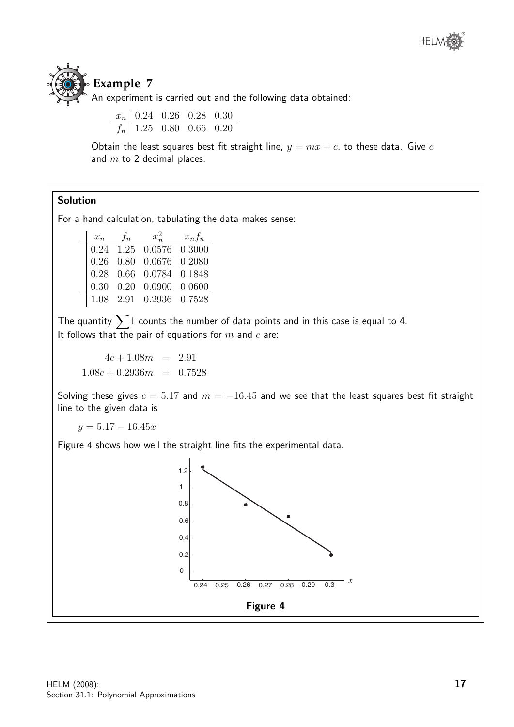

## **Example 7**

 $\overline{\phantom{a}}$ 

An experiment is carried out and the following data obtained:

$$
\begin{array}{c|ccccc}\nx_n & 0.24 & 0.26 & 0.28 & 0.30 \\
\hline\nf_n & 1.25 & 0.80 & 0.66 & 0.20\n\end{array}
$$

Obtain the least squares best fit straight line,  $y = mx + c$ , to these data. Give c and  $m$  to 2 decimal places.

#### Solution

For a hand calculation, tabulating the data makes sense:

| $x_n$ | $f_n$ | $x_{n}^2$                                                                                                                                                          | $x_n f_n$ |
|-------|-------|--------------------------------------------------------------------------------------------------------------------------------------------------------------------|-----------|
|       |       |                                                                                                                                                                    |           |
|       |       |                                                                                                                                                                    |           |
|       |       |                                                                                                                                                                    |           |
|       |       | $\begin{array}{cccc} 0.24 & 1.25 & 0.0576 & 0.3000 \\ 0.26 & 0.80 & 0.0676 & 0.2080 \\ 0.28 & 0.66 & 0.0784 & 0.1848 \\ 0.30 & 0.20 & 0.0900 & 0.0600 \end{array}$ |           |
|       |       | 1.08 2.91 0.2936 0.7528                                                                                                                                            |           |

The quantity  $\sum 1$  counts the number of data points and in this case is equal to 4. It follows that the pair of equations for  $m$  and  $c$  are:

 $4c + 1.08m = 2.91$  $1.08c + 0.2936m = 0.7528$ 

Solving these gives  $c = 5.17$  and  $m = -16.45$  and we see that the least squares best fit straight line to the given data is

 $y = 5.17 - 16.45x$ 

Figure 4 shows how well the straight line fits the experimental data.

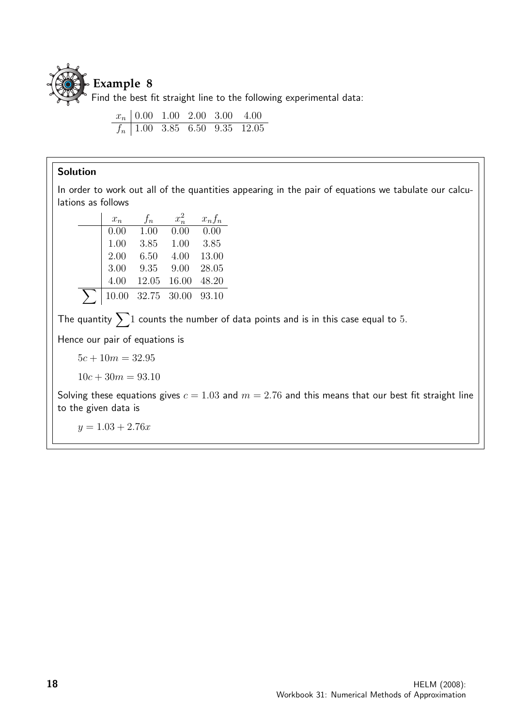

Find the best fit straight line to the following experimental data:

$$
\begin{array}{c|ccccc}\nx_n & 0.00 & 1.00 & 2.00 & 3.00 & 4.00 \\
\hline\nf_n & 1.00 & 3.85 & 6.50 & 9.35 & 12.05\n\end{array}
$$

#### Solution

In order to work out all of the quantities appearing in the pair of equations we tabulate our calculations as follows

| $x_n$ | $f_n$ | $x_n^2$     | $x_n f_n$ |
|-------|-------|-------------|-----------|
| 0.00  | 1.00  | 0.00        | 0.00      |
| 1.00  | 3.85  | 1.00        | 3.85      |
| 2.00  | 6.50  | 4.00        | 13.00     |
| 3.00  | 9.35  | 9.00        | 28.05     |
| 4.00  | 12.05 | 16.00       | 48.20     |
| 10.00 |       | 32.75 30.00 | 93.10     |

The quantity  $\sum 1$  counts the number of data points and is in this case equal to 5.

Hence our pair of equations is

$$
5c + 10m = 32.95
$$

$$
10c + 30m = 93.10
$$

Solving these equations gives  $c = 1.03$  and  $m = 2.76$  and this means that our best fit straight line to the given data is

 $y = 1.03 + 2.76x$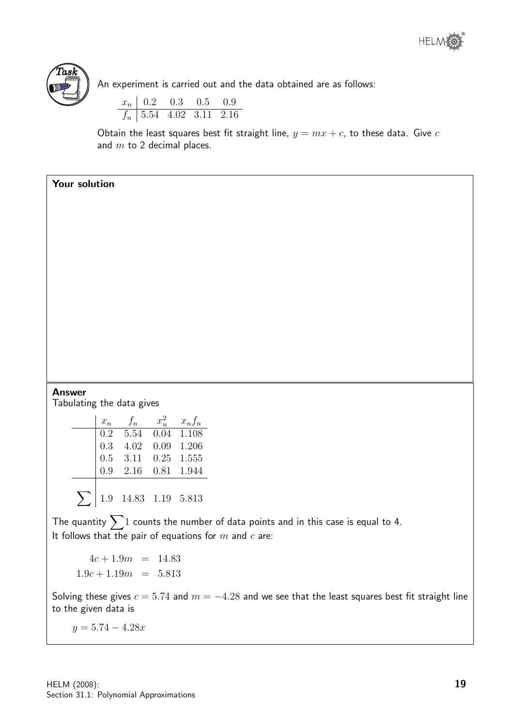



An experiment is carried out and the data obtained are as follows:

$$
\begin{array}{c|ccccc}\nx_n & 0.2 & 0.3 & 0.5 & 0.9 \\
\hline\nf_n & 5.54 & 4.02 & 3.11 & 2.16\n\end{array}
$$

Obtain the least squares best fit straight line,  $y = mx + c$ , to these data. Give c and  $m$  to 2 decimal places.

| Your solution |        |                  |                                                               |      |                                                                                                      |                                                                                        |
|---------------|--------|------------------|---------------------------------------------------------------|------|------------------------------------------------------------------------------------------------------|----------------------------------------------------------------------------------------|
|               |        |                  |                                                               |      |                                                                                                      |                                                                                        |
|               |        |                  |                                                               |      |                                                                                                      |                                                                                        |
|               |        |                  |                                                               |      |                                                                                                      |                                                                                        |
|               |        |                  |                                                               |      |                                                                                                      |                                                                                        |
|               |        |                  |                                                               |      |                                                                                                      |                                                                                        |
|               |        |                  |                                                               |      |                                                                                                      |                                                                                        |
|               |        |                  |                                                               |      |                                                                                                      |                                                                                        |
|               |        |                  |                                                               |      |                                                                                                      |                                                                                        |
|               |        |                  |                                                               |      |                                                                                                      |                                                                                        |
|               |        |                  |                                                               |      |                                                                                                      |                                                                                        |
|               |        |                  |                                                               |      |                                                                                                      |                                                                                        |
|               |        |                  |                                                               |      |                                                                                                      |                                                                                        |
| <b>Answer</b> |        |                  |                                                               |      |                                                                                                      |                                                                                        |
|               |        |                  | Tabulating the data gives                                     |      |                                                                                                      |                                                                                        |
|               |        | $x_n$            |                                                               |      |                                                                                                      |                                                                                        |
|               |        | $\overline{0.2}$ |                                                               |      | $\begin{array}{ccc} f_n & x_n^2 & x_n f_n \\ 5.54 & 0.04 & 1.108 \\ 4.02 & 0.09 & 1.206 \end{array}$ |                                                                                        |
|               |        | 0.3              |                                                               |      |                                                                                                      |                                                                                        |
|               |        | $0.5\,$          | 3.11                                                          | 0.25 | 1.555                                                                                                |                                                                                        |
|               |        | 0.9              | 2.16                                                          | 0.81 | 1.944                                                                                                |                                                                                        |
|               | $\sum$ |                  | $\begin{array}{ rrrr} 1.9 & 14.83 & 1.19 & 5.813 \end{array}$ |      |                                                                                                      |                                                                                        |
|               |        |                  |                                                               |      |                                                                                                      | The quantity $\sum 1$ counts the number of data points and in this case is equal to 4. |
|               |        |                  |                                                               |      |                                                                                                      | It follows that the pair of equations for $m$ and $c$ are:                             |

 $4c + 1.9m = 14.83$  $1.9c + 1.19m = 5.813$ 

Solving these gives  $c = 5.74$  and  $m = -4.28$  and we see that the least squares best fit straight line to the given data is

 $y = 5.74 - 4.28x$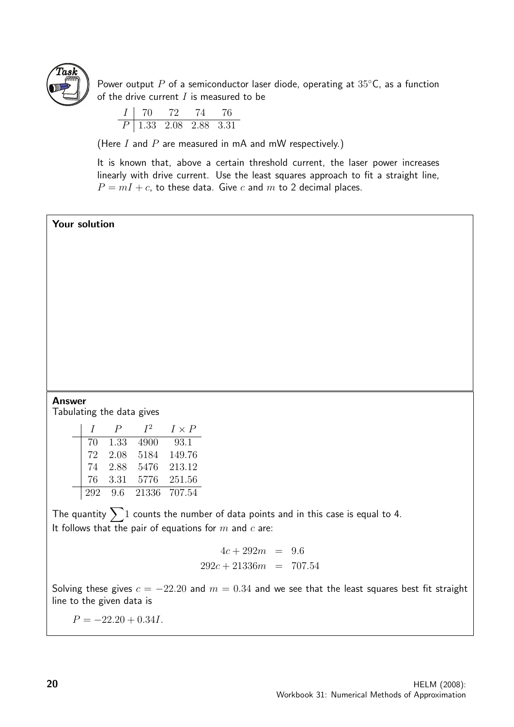

Power output P of a semiconductor laser diode, operating at  $35^{\circ}$ C, as a function of the drive current  $I$  is measured to be

$$
\begin{array}{c|ccccc} I & 70 & 72 & 74 & 76 \\ \hline P & 1.33 & 2.08 & 2.88 & 3.31 \\ \end{array}
$$

(Here  $I$  and  $P$  are measured in mA and mW respectively.)

It is known that, above a certain threshold current, the laser power increases linearly with drive current. Use the least squares approach to fit a straight line,  $P = mI + c$ , to these data. Give c and m to 2 decimal places.

#### Your solution

#### Answer

Tabulating the data gives

| $\prime$ | P    | $I^2$ | $I \times P$ |
|----------|------|-------|--------------|
| 70       | 1.33 | 4900  | 93.1         |
| 72       | 2.08 | 5184  | 149.76       |
| 74       | 2.88 | 5476  | 213.12       |
| 76       | 3.31 | 5776  | 251.56       |
| 292      | 9.6  | 21336 | 707.54       |

The quantity  $\sum 1$  counts the number of data points and in this case is equal to 4. It follows that the pair of equations for  $m$  and  $c$  are:

> $4c + 292m = 9.6$  $292c + 21336m = 707.54$

Solving these gives  $c = -22.20$  and  $m = 0.34$  and we see that the least squares best fit straight line to the given data is

 $P = -22.20 + 0.34I$ .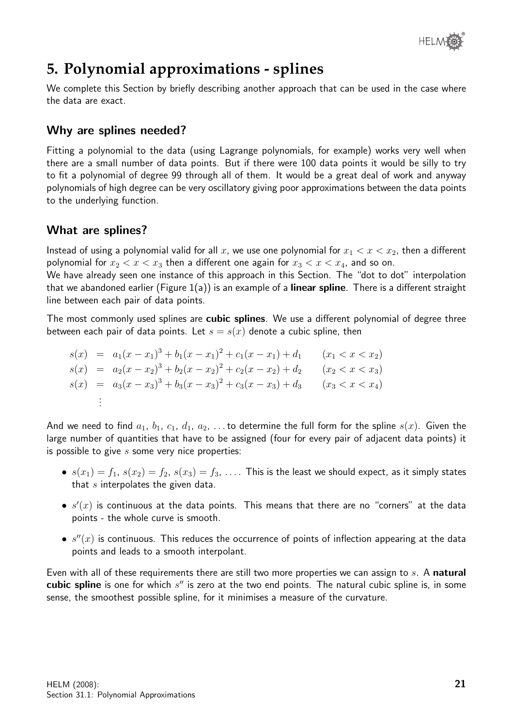

# **5. Polynomial approximations - splines**

We complete this Section by briefly describing another approach that can be used in the case where the data are exact.

#### Why are splines needed?

Fitting a polynomial to the data (using Lagrange polynomials, for example) works very well when there are a small number of data points. But if there were 100 data points it would be silly to try to fit a polynomial of degree 99 through all of them. It would be a great deal of work and anyway polynomials of high degree can be very oscillatory giving poor approximations between the data points to the underlying function.

#### What are splines?

Instead of using a polynomial valid for all x, we use one polynomial for  $x_1 < x < x_2$ , then a different polynomial for  $x_2 < x < x_3$  then a different one again for  $x_3 < x < x_4$ , and so on.

We have already seen one instance of this approach in this Section. The "dot to dot" interpolation that we abandoned earlier (Figure  $1(a)$ ) is an example of a **linear spline**. There is a different straight line between each pair of data points.

The most commonly used splines are **cubic splines**. We use a different polynomial of degree three between each pair of data points. Let  $s = s(x)$  denote a cubic spline, then

|  | $s(x) = a_1(x-x_1)^3 + b_1(x-x_1)^2 + c_1(x-x_1) + d_1$ | $(x_1 < x < x_2)$ |
|--|---------------------------------------------------------|-------------------|
|  | $s(x) = a_2(x-x_2)^3 + b_2(x-x_2)^2 + c_2(x-x_2) + d_2$ | $(x_2 < x < x_3)$ |
|  | $s(x) = a_3(x-x_3)^3 + b_3(x-x_3)^2 + c_3(x-x_3) + d_3$ | $(x_3 < x < x_4)$ |
|  |                                                         |                   |

And we need to find  $a_1, b_1, c_1, d_1, a_2, \ldots$  to determine the full form for the spline  $s(x)$ . Given the large number of quantities that have to be assigned (four for every pair of adjacent data points) it is possible to give  $s$  some very nice properties:

- $s(x_1) = f_1$ ,  $s(x_2) = f_2$ ,  $s(x_3) = f_3$ , .... This is the least we should expect, as it simply states that  $s$  interpolates the given data.
- $\bullet$   $s'(x)$  is continuous at the data points. This means that there are no "corners" at the data points - the whole curve is smooth.
- $\bullet \, s''(x)$  is continuous. This reduces the occurrence of points of inflection appearing at the data points and leads to a smooth interpolant.

Even with all of these requirements there are still two more properties we can assign to s. A natural cubic spline is one for which  $s''$  is zero at the two end points. The natural cubic spline is, in some sense, the smoothest possible spline, for it minimises a measure of the curvature.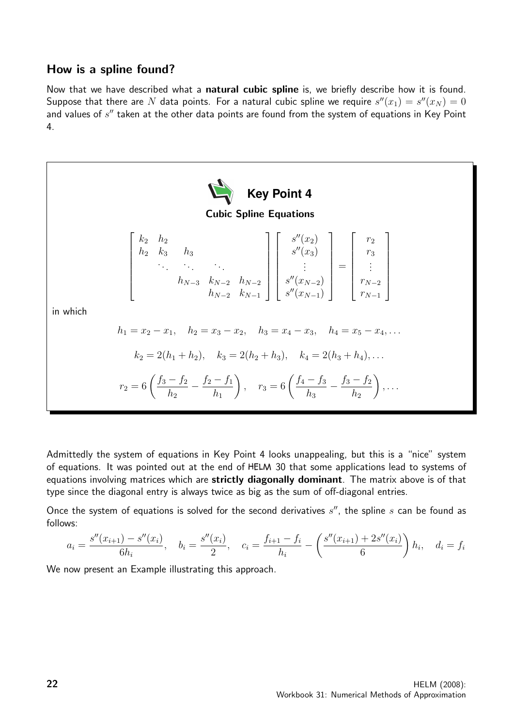#### How is a spline found?

Now that we have described what a natural cubic spline is, we briefly describe how it is found. Suppose that there are  $N$  data points. For a natural cubic spline we require  $s''(x_1) = s''(x_N) = 0$ and values of  $s''$  taken at the other data points are found from the system of equations in Key Point 4.



Admittedly the system of equations in Key Point 4 looks unappealing, but this is a "nice" system of equations. It was pointed out at the end of HELM 30 that some applications lead to systems of equations involving matrices which are strictly diagonally dominant. The matrix above is of that type since the diagonal entry is always twice as big as the sum of off-diagonal entries.

Once the system of equations is solved for the second derivatives  $s''$ , the spline  $s$  can be found as follows:

$$
a_i = \frac{s''(x_{i+1}) - s''(x_i)}{6h_i}, \quad b_i = \frac{s''(x_i)}{2}, \quad c_i = \frac{f_{i+1} - f_i}{h_i} - \left(\frac{s''(x_{i+1}) + 2s''(x_i)}{6}\right)h_i, \quad d_i = f_i
$$

We now present an Example illustrating this approach.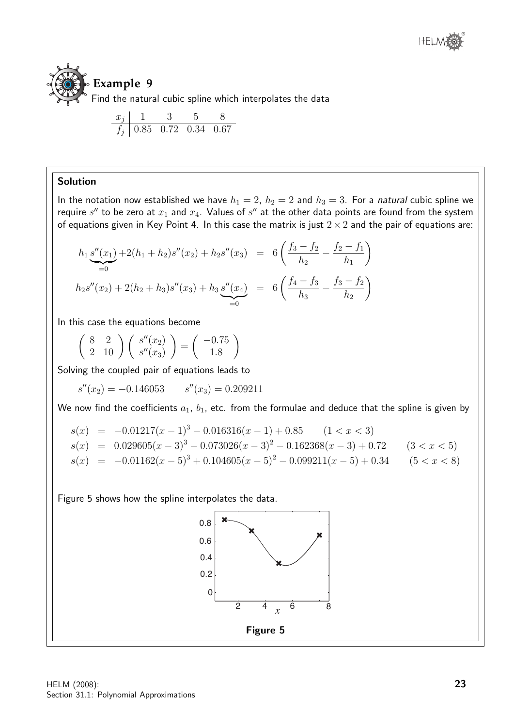

$$
\begin{array}{c|ccccc}\nx_j & 1 & 3 & 5 & 8 \\
\hline\nf_j & 0.85 & 0.72 & 0.34 & 0.67\n\end{array}
$$

#### Solution

In the notation now established we have  $h_1 = 2$ ,  $h_2 = 2$  and  $h_3 = 3$ . For a natural cubic spline we require  $s''$  to be zero at  $x_1$  and  $x_4$ . Values of  $s''$  at the other data points are found from the system of equations given in Key Point 4. In this case the matrix is just  $2 \times 2$  and the pair of equations are:

$$
h_1 \underbrace{s''(x_1)}_{=0} + 2(h_1 + h_2)s''(x_2) + h_2s''(x_3) = 6\left(\frac{f_3 - f_2}{h_2} - \frac{f_2 - f_1}{h_1}\right)
$$
  

$$
h_2s''(x_2) + 2(h_2 + h_3)s''(x_3) + h_3 \underbrace{s''(x_4)}_{=0} = 6\left(\frac{f_4 - f_3}{h_3} - \frac{f_3 - f_2}{h_2}\right)
$$

In this case the equations become

$$
\left(\begin{array}{cc}8 & 2\\2 & 10\end{array}\right)\left(\begin{array}{c} s''(x_2)\\s''(x_3)\end{array}\right)=\left(\begin{array}{c}-0.75\\1.8\end{array}\right)
$$

Solving the coupled pair of equations leads to

 $s''(x_2) = -0.146053$   $s''(x_3) = 0.209211$ 

We now find the coefficients  $a_1$ ,  $b_1$ , etc. from the formulae and deduce that the spline is given by

$$
s(x) = -0.01217(x - 1)^3 - 0.016316(x - 1) + 0.85 \t (1 < x < 3)
$$
  
\n
$$
s(x) = 0.029605(x - 3)^3 - 0.073026(x - 3)^2 - 0.162368(x - 3) + 0.72 \t (3 < x < 5)
$$
  
\n
$$
s(x) = -0.01162(x - 5)^3 + 0.104605(x - 5)^2 - 0.099211(x - 5) + 0.34 \t (5 < x < 8)
$$

Figure 5 shows how the spline interpolates the data.

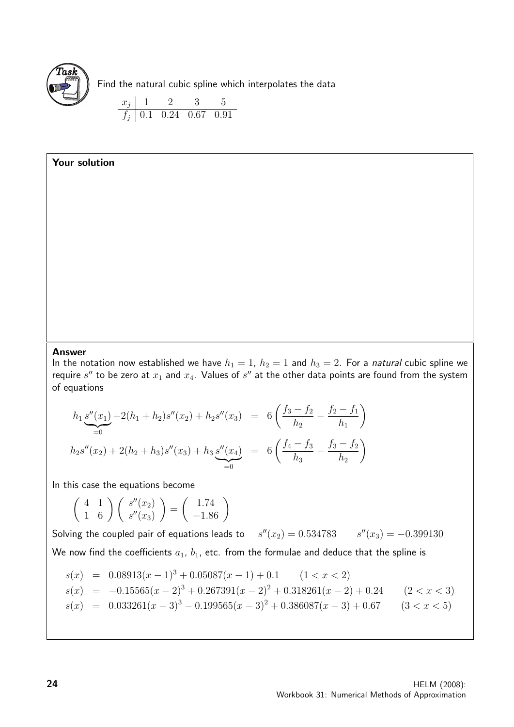

Find the natural cubic spline which interpolates the data

$$
\begin{array}{c|cc}\nx_j & 1 & 2 & 3 & 5 \\
\hline\nf_j & 0.1 & 0.24 & 0.67 & 0.91\n\end{array}
$$

#### Your solution

#### Answer

In the notation now established we have  $h_1 = 1$ ,  $h_2 = 1$  and  $h_3 = 2$ . For a natural cubic spline we require  $s''$  to be zero at  $x_1$  and  $x_4$ . Values of  $s''$  at the other data points are found from the system of equations

$$
h_1 \underbrace{s''(x_1)}_{=0} + 2(h_1 + h_2)s''(x_2) + h_2s''(x_3) = 6\left(\frac{f_3 - f_2}{h_2} - \frac{f_2 - f_1}{h_1}\right)
$$
  

$$
h_2s''(x_2) + 2(h_2 + h_3)s''(x_3) + h_3 \underbrace{s''(x_4)}_{=0} = 6\left(\frac{f_4 - f_3}{h_3} - \frac{f_3 - f_2}{h_2}\right)
$$

In this case the equations become

$$
\left(\begin{array}{cc} 4 & 1 \\ 1 & 6 \end{array}\right) \left(\begin{array}{c} s''(x_2) \\ s''(x_3) \end{array}\right) = \left(\begin{array}{c} 1.74 \\ -1.86 \end{array}\right)
$$

Solving the coupled pair of equations leads to  $s''(x_2) = 0.534783$   $s''(x_3) = -0.399130$ 

We now find the coefficients  $a_1$ ,  $b_1$ , etc. from the formulae and deduce that the spline is

$$
s(x) = 0.08913(x-1)^3 + 0.05087(x-1) + 0.1 \t(1 < x < 2)
$$
  
\n
$$
s(x) = -0.15565(x-2)^3 + 0.267391(x-2)^2 + 0.318261(x-2) + 0.24 \t(2 < x < 3)
$$
  
\n
$$
s(x) = 0.033261(x-3)^3 - 0.199565(x-3)^2 + 0.386087(x-3) + 0.67 \t(3 < x < 5)
$$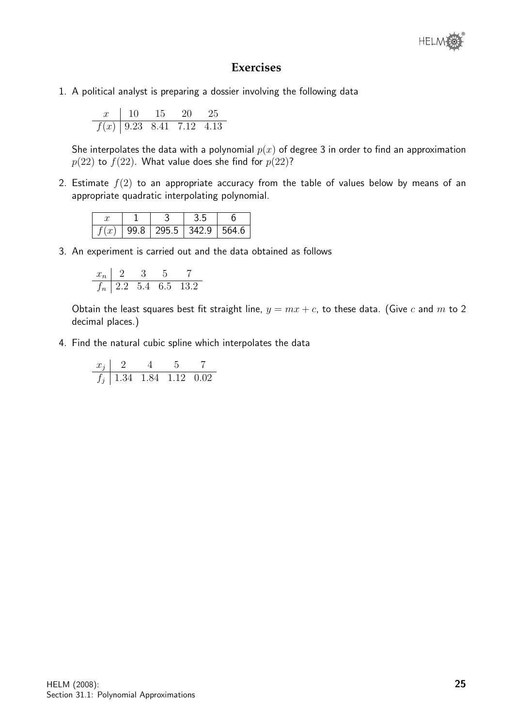

#### **Exercises**

1. A political analyst is preparing a dossier involving the following data

$$
\begin{array}{c|ccccc}\nx & 10 & 15 & 20 & 25 \\
\hline\nf(x) & 9.23 & 8.41 & 7.12 & 4.13\n\end{array}
$$

She interpolates the data with a polynomial  $p(x)$  of degree 3 in order to find an approximation  $p(22)$  to  $f(22)$ . What value does she find for  $p(22)$ ?

2. Estimate  $f(2)$  to an appropriate accuracy from the table of values below by means of an appropriate quadratic interpolating polynomial.

| 99.8 | 295.5 | 342.9 | $-564$ |
|------|-------|-------|--------|

3. An experiment is carried out and the data obtained as follows

$$
\begin{array}{c|cccc}\nx_n & 2 & 3 & 5 & 7 \\
\hline\nf_n & 2.2 & 5.4 & 6.5 & 13.2\n\end{array}
$$

Obtain the least squares best fit straight line,  $y = mx + c$ , to these data. (Give c and m to 2) decimal places.)

4. Find the natural cubic spline which interpolates the data

$$
\begin{array}{c|cccc}\nx_j & 2 & 4 & 5 & 7 \\
\hline\nf_j & 1.34 & 1.84 & 1.12 & 0.02\n\end{array}
$$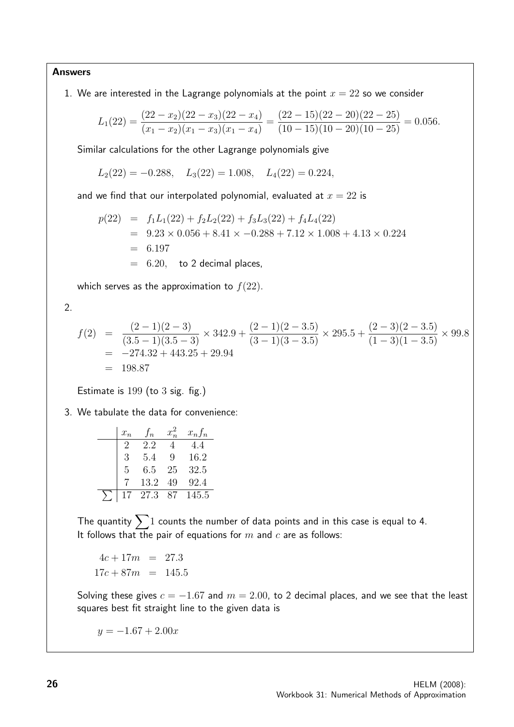Answers

1. We are interested in the Lagrange polynomials at the point  $x = 22$  so we consider

$$
L_1(22) = \frac{(22 - x_2)(22 - x_3)(22 - x_4)}{(x_1 - x_2)(x_1 - x_3)(x_1 - x_4)} = \frac{(22 - 15)(22 - 20)(22 - 25)}{(10 - 15)(10 - 20)(10 - 25)} = 0.056.
$$

Similar calculations for the other Lagrange polynomials give

 $L_2(22) = -0.288$ ,  $L_3(22) = 1.008$ ,  $L_4(22) = 0.224$ ,

and we find that our interpolated polynomial, evaluated at  $x = 22$  is

$$
p(22) = f_1L_1(22) + f_2L_2(22) + f_3L_3(22) + f_4L_4(22)
$$
  
= 9.23 × 0.056 + 8.41 × -0.288 + 7.12 × 1.008 + 4.13 × 0.224  
= 6.197  
= 6.20, to 2 decimal places,

which serves as the approximation to  $f(22)$ .

2.

$$
f(2) = \frac{(2-1)(2-3)}{(3.5-1)(3.5-3)} \times 342.9 + \frac{(2-1)(2-3.5)}{(3-1)(3-3.5)} \times 295.5 + \frac{(2-3)(2-3.5)}{(1-3)(1-3.5)} \times 99.8
$$
  
= -274.32 + 443.25 + 29.94  
= 198.87

Estimate is 199 (to 3 sig. fig.)

3. We tabulate the data for convenience:

| $x_n$ | $\sqrt{f_n}$ |    | $x_n f_n$ |
|-------|--------------|----|-----------|
|       | 2.2          |    | 4.4       |
| 3     | 5.4          | 9  | 16.2      |
| 5     | 6.5          | 25 | 32.5      |
|       | 13.2         | 49 | 92.4      |
|       | 27.3         | 87 | 145.5     |

The quantity  $\sum 1$  counts the number of data points and in this case is equal to 4. It follows that the pair of equations for  $m$  and  $c$  are as follows:

 $4c + 17m = 27.3$  $17c + 87m = 145.5$ 

Solving these gives  $c = -1.67$  and  $m = 2.00$ , to 2 decimal places, and we see that the least squares best fit straight line to the given data is

 $y = -1.67 + 2.00x$